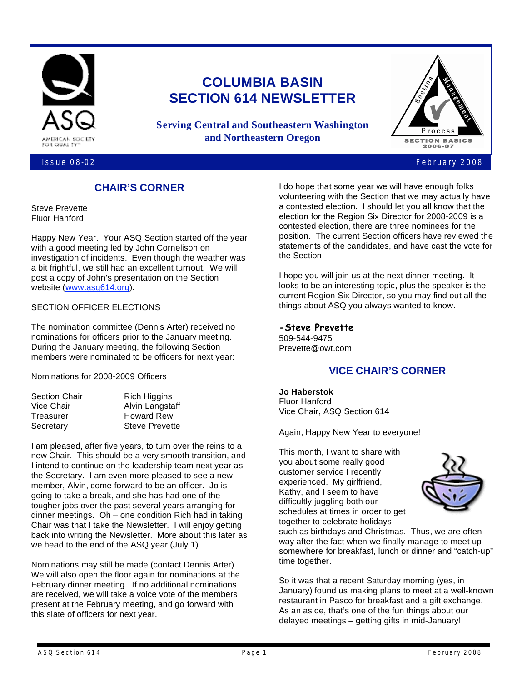

# **COLUMBIA BASIN SECTION 614 NEWSLETTER**

**Serving Central and Southeastern Washington and Northeastern Oregon**



#### Issue 08-02 February 2008

### **CHAIR'S CORNER**

Steve Prevette Fluor Hanford

Happy New Year. Your ASQ Section started off the year with a good meeting led by John Cornelison on investigation of incidents. Even though the weather was a bit frightful, we still had an excellent turnout. We will post a copy of John's presentation on the Section website (www.asq614.org).

#### SECTION OFFICER ELECTIONS

The nomination committee (Dennis Arter) received no nominations for officers prior to the January meeting. During the January meeting, the following Section members were nominated to be officers for next year:

Nominations for 2008-2009 Officers

| Section Chair | <b>Rich Higgins</b>   |  |
|---------------|-----------------------|--|
| Vice Chair    | Alvin Langstaff       |  |
| Treasurer     | <b>Howard Rew</b>     |  |
| Secretary     | <b>Steve Prevette</b> |  |
|               |                       |  |

I am pleased, after five years, to turn over the reins to a new Chair. This should be a very smooth transition, and I intend to continue on the leadership team next year as the Secretary. I am even more pleased to see a new member, Alvin, come forward to be an officer. Jo is going to take a break, and she has had one of the tougher jobs over the past several years arranging for dinner meetings. Oh – one condition Rich had in taking Chair was that I take the Newsletter. I will enjoy getting back into writing the Newsletter. More about this later as we head to the end of the ASQ year (July 1).

Nominations may still be made (contact Dennis Arter). We will also open the floor again for nominations at the February dinner meeting. If no additional nominations are received, we will take a voice vote of the members present at the February meeting, and go forward with this slate of officers for next year.

I do hope that some year we will have enough folks volunteering with the Section that we may actually have a contested election. I should let you all know that the election for the Region Six Director for 2008-2009 is a contested election, there are three nominees for the position. The current Section officers have reviewed the statements of the candidates, and have cast the vote for the Section.

I hope you will join us at the next dinner meeting. It looks to be an interesting topic, plus the speaker is the current Region Six Director, so you may find out all the things about ASQ you always wanted to know.

#### **-Steve Prevette**

509-544-9475 Prevette@owt.com

### **VICE CHAIR'S CORNER**

**Jo Haberstok** Fluor Hanford Vice Chair, ASQ Section 614

Again, Happy New Year to everyone!

This month, I want to share with you about some really good customer service I recently experienced. My girlfriend, Kathy, and I seem to have difficultly juggling both our schedules at times in order to get together to celebrate holidays



such as birthdays and Christmas. Thus, we are often way after the fact when we finally manage to meet up somewhere for breakfast, lunch or dinner and "catch-up" time together.

So it was that a recent Saturday morning (yes, in January) found us making plans to meet at a well-known restaurant in Pasco for breakfast and a gift exchange. As an aside, that's one of the fun things about our delayed meetings – getting gifts in mid-January!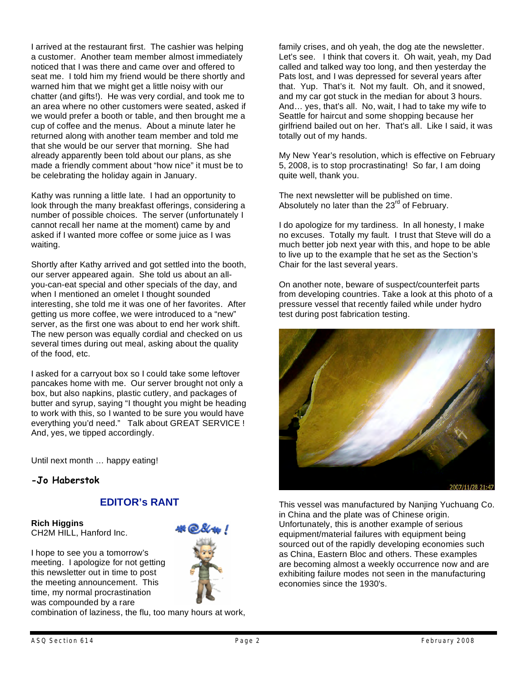I arrived at the restaurant first. The cashier was helping a customer. Another team member almost immediately noticed that I was there and came over and offered to seat me. I told him my friend would be there shortly and warned him that we might get a little noisy with our chatter (and gifts!). He was very cordial, and took me to an area where no other customers were seated, asked if we would prefer a booth or table, and then brought me a cup of coffee and the menus. About a minute later he returned along with another team member and told me that she would be our server that morning. She had already apparently been told about our plans, as she made a friendly comment about "how nice" it must be to be celebrating the holiday again in January.

Kathy was running a little late. I had an opportunity to look through the many breakfast offerings, considering a number of possible choices. The server (unfortunately I cannot recall her name at the moment) came by and asked if I wanted more coffee or some juice as I was waiting.

Shortly after Kathy arrived and got settled into the booth, our server appeared again. She told us about an allyou-can-eat special and other specials of the day, and when I mentioned an omelet I thought sounded interesting, she told me it was one of her favorites. After getting us more coffee, we were introduced to a "new" server, as the first one was about to end her work shift. The new person was equally cordial and checked on us several times during out meal, asking about the quality of the food, etc.

I asked for a carryout box so I could take some leftover pancakes home with me. Our server brought not only a box, but also napkins, plastic cutlery, and packages of butter and syrup, saying "I thought you might be heading to work with this, so I wanted to be sure you would have everything you'd need." Talk about GREAT SERVICE ! And, yes, we tipped accordingly.

Until next month … happy eating!

#### **-Jo Haberstok**

#### **EDITOR's RANT**

**Rich Higgins** CH2M HILL, Hanford Inc.

I hope to see you a tomorrow's meeting. I apologize for not getting this newsletter out in time to post the meeting announcement. This time, my normal procrastination was compounded by a rare



combination of laziness, the flu, too many hours at work,

family crises, and oh yeah, the dog ate the newsletter. Let's see. I think that covers it. Oh wait, yeah, my Dad called and talked way too long, and then yesterday the Pats lost, and I was depressed for several years after that. Yup. That's it. Not my fault. Oh, and it snowed, and my car got stuck in the median for about 3 hours. And… yes, that's all. No, wait, I had to take my wife to Seattle for haircut and some shopping because her girlfriend bailed out on her. That's all. Like I said, it was totally out of my hands.

My New Year's resolution, which is effective on February 5, 2008, is to stop procrastinating! So far, I am doing quite well, thank you.

The next newsletter will be published on time. Absolutely no later than the  $23<sup>rd</sup>$  of February.

I do apologize for my tardiness. In all honesty, I make no excuses. Totally my fault. I trust that Steve will do a much better job next year with this, and hope to be able to live up to the example that he set as the Section's Chair for the last several years.

On another note, beware of suspect/counterfeit parts from developing countries. Take a look at this photo of a pressure vessel that recently failed while under hydro test during post fabrication testing.



This vessel was manufactured by Nanjing Yuchuang Co. in China and the plate was of Chinese origin. Unfortunately, this is another example of serious equipment/material failures with equipment being sourced out of the rapidly developing economies such as China, Eastern Bloc and others. These examples are becoming almost a weekly occurrence now and are exhibiting failure modes not seen in the manufacturing economies since the 1930's.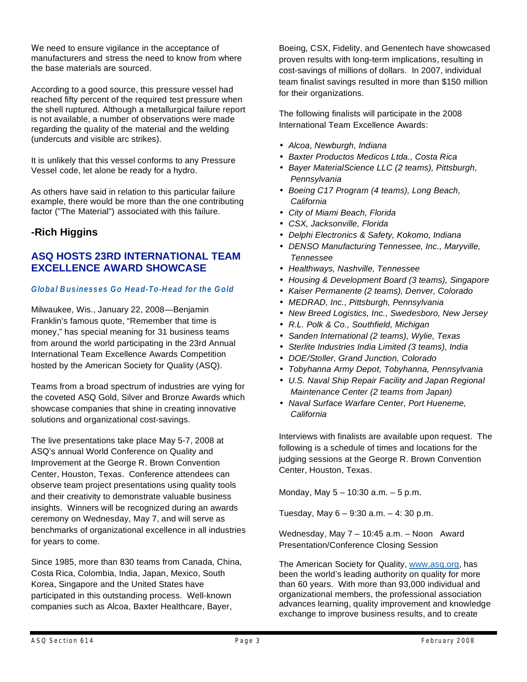We need to ensure vigilance in the acceptance of manufacturers and stress the need to know from where the base materials are sourced.

According to a good source, this pressure vessel had reached fifty percent of the required test pressure when the shell ruptured. Although a metallurgical failure report is not available, a number of observations were made regarding the quality of the material and the welding (undercuts and visible arc strikes).

It is unlikely that this vessel conforms to any Pressure Vessel code, let alone be ready for a hydro.

As others have said in relation to this particular failure example, there would be more than the one contributing factor ("The Material") associated with this failure.

# **-Rich Higgins**

### **ASQ HOSTS 23RD INTERNATIONAL TEAM EXCELLENCE AWARD SHOWCASE**

#### *Global Businesses Go Head-To-Head for the Gold*

Milwaukee, Wis., January 22, 2008—Benjamin Franklin's famous quote, "Remember that time is money," has special meaning for 31 business teams from around the world participating in the 23rd Annual International Team Excellence Awards Competition hosted by the American Society for Quality (ASQ).

Teams from a broad spectrum of industries are vying for the coveted ASQ Gold, Silver and Bronze Awards which showcase companies that shine in creating innovative solutions and organizational cost-savings.

The live presentations take place May 5-7, 2008 at ASQ's annual World Conference on Quality and Improvement at the George R. Brown Convention Center, Houston, Texas. Conference attendees can observe team project presentations using quality tools and their creativity to demonstrate valuable business insights. Winners will be recognized during an awards ceremony on Wednesday, May 7, and will serve as benchmarks of organizational excellence in all industries for years to come.

Since 1985, more than 830 teams from Canada, China, Costa Rica, Colombia, India, Japan, Mexico, South Korea, Singapore and the United States have participated in this outstanding process. Well-known companies such as Alcoa, Baxter Healthcare, Bayer,

Boeing, CSX, Fidelity, and Genentech have showcased proven results with long-term implications, resulting in cost-savings of millions of dollars. In 2007, individual team finalist savings resulted in more than \$150 million for their organizations.

The following finalists will participate in the 2008 International Team Excellence Awards:

- *Alcoa, Newburgh, Indiana*
- *Baxter Productos Medicos Ltda., Costa Rica*
- *Bayer MaterialScience LLC (2 teams), Pittsburgh, Pennsylvania*
- *Boeing C17 Program (4 teams), Long Beach, California*
- *City of Miami Beach, Florida*
- *CSX, Jacksonville, Florida*
- *Delphi Electronics & Safety, Kokomo, Indiana*
- *DENSO Manufacturing Tennessee, Inc., Maryville, Tennessee*
- *Healthways, Nashville, Tennessee*
- *Housing & Development Board (3 teams), Singapore*
- *Kaiser Permanente (2 teams), Denver, Colorado*
- *MEDRAD, Inc., Pittsburgh, Pennsylvania*
- *New Breed Logistics, Inc., Swedesboro, New Jersey*
- *R.L. Polk & Co., Southfield, Michigan*
- *Sanden International (2 teams), Wylie, Texas*
- *Sterlite Industries India Limited (3 teams), India*
- *DOE/Stoller, Grand Junction, Colorado*
- *Tobyhanna Army Depot, Tobyhanna, Pennsylvania*
- *U.S. Naval Ship Repair Facility and Japan Regional Maintenance Center (2 teams from Japan)*
- *Naval Surface Warfare Center, Port Hueneme, California*

Interviews with finalists are available upon request. The following is a schedule of times and locations for the judging sessions at the George R. Brown Convention Center, Houston, Texas.

Monday, May 5 – 10:30 a.m. – 5 p.m.

Tuesday, May  $6 - 9:30$  a.m.  $- 4:30$  p.m.

Wednesday, May 7 – 10:45 a.m. – Noon Award Presentation/Conference Closing Session

The American Society for Quality, www.asq.org, has been the world's leading authority on quality for more than 60 years. With more than 93,000 individual and organizational members, the professional association advances learning, quality improvement and knowledge exchange to improve business results, and to create